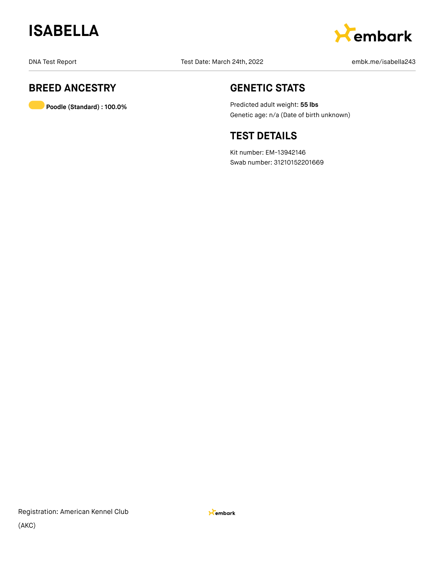



### **BREED ANCESTRY**

**Poodle (Standard) : 100.0%**

### **GENETIC STATS**

Predicted adult weight: **55 lbs** Genetic age: n/a (Date of birth unknown)

### **TEST DETAILS**

Kit number: EM-13942146 Swab number: 31210152201669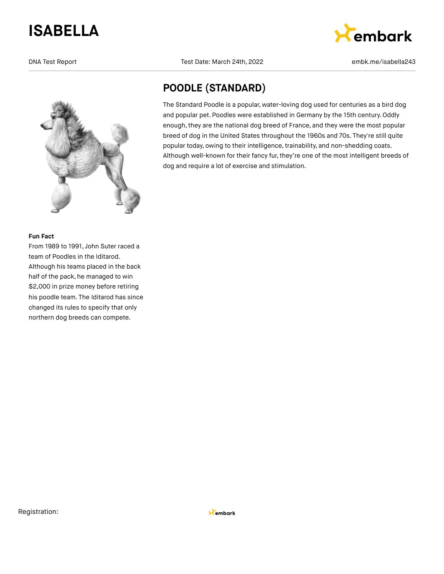

#### **Fun Fact**

From 1989 to 1991, John Suter raced a team of Poodles in the Iditarod. Although his teams placed in the back half of the pack, he managed to win \$2,000 in prize money before retiring his poodle team. The Iditarod has since changed its rules to specify that only northern dog breeds can compete.

DNA Test Report Test Date: March 24th, 2022 embk.me/isabella243



## **POODLE (STANDARD)**

The Standard Poodle is a popular, water-loving dog used for centuries as a bird dog and popular pet. Poodles were established in Germany by the 15th century. Oddly enough, they are the national dog breed of France, and they were the most popular breed of dog in the United States throughout the 1960s and 70s. They're still quite popular today, owing to their intelligence, trainability, and non-shedding coats. Although well-known for their fancy fur, they're one of the most intelligent breeds of dog and require a lot of exercise and stimulation.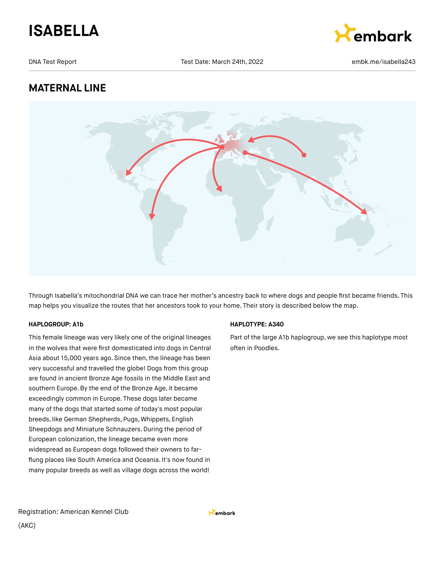



### **MATERNAL LINE**



Through Isabella's mitochondrial DNA we can trace her mother's ancestry back to where dogs and people first became friends. This map helps you visualize the routes that her ancestors took to your home. Their story is described below the map.

#### **HAPLOGROUP: A1b**

This female lineage was very likely one of the original lineages in the wolves that were first domesticated into dogs in Central Asia about 15,000 years ago. Since then, the lineage has been very successful and travelled the globe! Dogs from this group are found in ancient Bronze Age fossils in the Middle East and southern Europe.By the end of the Bronze Age, it became exceedingly common in Europe. These dogs later became many of the dogs that started some of today's most popular breeds, like German Shepherds, Pugs, Whippets, English Sheepdogs and Miniature Schnauzers. During the period of European colonization, the lineage became even more widespread as European dogs followed their owners to farflung places like South America and Oceania. It's now found in many popular breeds as well as village dogs across the world!

#### **HAPLOTYPE: A340**

Part of the large A1b haplogroup, we see this haplotype most often in Poodles.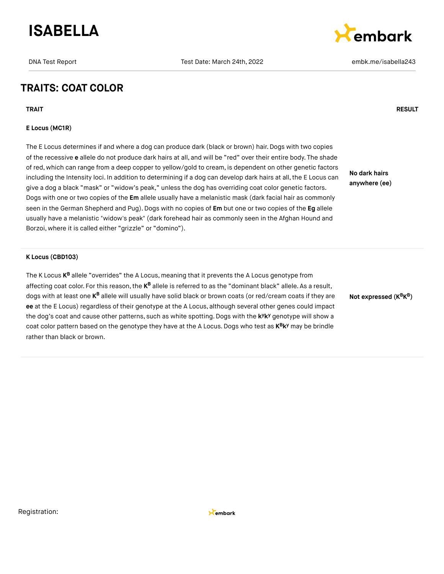



### **TRAITS: COAT COLOR**

**TRAIT RESULT**

#### **E Locus (MC1R)**

The E Locus determines if and where a dog can produce dark (black or brown) hair. Dogs with two copies of the recessive **e** allele do not produce dark hairs at all, and will be "red" over their entire body. The shade of red, which can range from a deep copper to yellow/gold to cream, is dependent on other genetic factors including the Intensity loci. In addition to determining if a dog can develop dark hairs at all, the E Locus can give a dog a black "mask" or "widow's peak," unless the dog has overriding coat color genetic factors. Dogs with one or two copies of the **Em** allele usually have a melanistic mask (dark facial hair as commonly seen in the German Shepherd and Pug).Dogs with no copies of **Em** but one or two copies of the **Eg** allele usually have a melanistic "widow's peak" (dark forehead hair as commonly seen in the Afghan Hound and Borzoi, where it is called either "grizzle" or "domino").

**No dark hairs anywhere (ee)**

#### **K Locus (CBD103)**

The K Locus **K<sup>B</sup>** allele "overrides" the A Locus, meaning that it prevents the A Locus genotype from affecting coat color. For this reason, the **K<sup>B</sup> allele is referred to as the "dominant** black" allele. As a result, dogs with at least one **K<sup>B</sup> allele will usually have solid black** or brown coats (or red/cream coats if they are **ee** at the E Locus) regardless of their genotype at the A Locus, although several other genes could impact the dog's coat and cause other patterns, such as white spotting. Dogs with the k<sup>y</sup>k<sup>y</sup> genotype will show a coat color pattern based on the genotype they have at the A Locus. Dogs who test as  $K^B K^y$  may be brindle rather than black or brown.

**Not expressed (K K ) B B**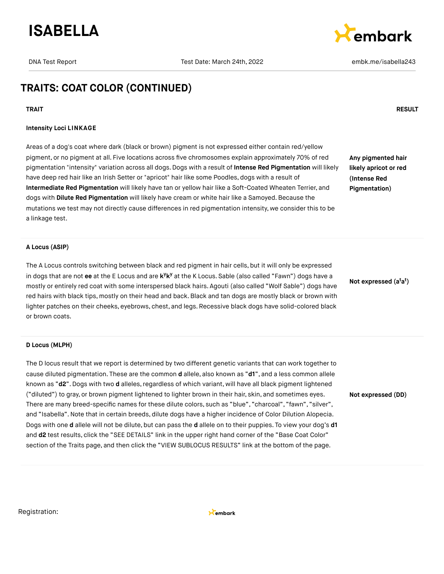

Cembark

### **TRAITS: COAT COLOR (CONTINUED)**

#### **Intensity Loci LINKAGE**

Areas of a dog's coat where dark (black or brown) pigment is not expressed either contain red/yellow pigment, or no pigment at all. Five locations across five chromosomes explain approximately 70% of red pigmentation "intensity" variation across all dogs. Dogs with a result of **Intense Red Pigmentation** will likely have deep red hair like an Irish Setter or "apricot" hair like some Poodles, dogs with a result of **Intermediate Red Pigmentation** will likely have tan or yellow hair like a Soft-Coated Wheaten Terrier, and dogs with **Dilute Red Pigmentation** will likely have cream or white hair like a Samoyed. Because the mutations we test may not directly cause differences in red pigmentation intensity, we consider this to be a linkage test.

**Any pigmented hair likely apricot or red (Intense Red Pigmentation)**

#### **A Locus (ASIP)**

The A Locus controls switching between black and red pigment in hair cells, but it will only be expressed in dogs that are not ee at the E Locus and are k<sup>y</sup>k<sup>y</sup> at the K Locus. Sable (also called "Fawn") dogs have a mostly or entirely red coat with some interspersed black hairs. Agouti (also called "Wolf Sable") dogs have red hairs with black tips, mostly on their head and back.Black and tan dogs are mostly black or brown with lighter patches on their cheeks, eyebrows, chest, and legs. Recessive black dogs have solid-colored black or brown coats.

#### **D Locus (MLPH)**

The D locus result that we report is determined by two different genetic variants that can work together to cause diluted pigmentation. These are the common **d** allele, also known as "**d1**", and a less common allele known as "d2". Dogs with two d alleles, regardless of which variant, will have all black pigment lightened ("diluted") to gray, or brown pigment lightened to lighter brown in their hair, skin, and sometimes eyes. There are many breed-specific names for these dilute colors, such as "blue", "charcoal", "fawn", "silver", and "Isabella".Note that in certain breeds, dilute dogs have a higher incidence of Color Dilution Alopecia. Dogs with one **d** allele will not be dilute, but can pass the **d** allele on to their puppies. To view your dog's **d1** and **d2** test results, click the "SEE DETAILS" link in the upper right hand corner of the "Base Coat Color" section of the Traits page, and then click the "VIEW SUBLOCUS RESULTS" link at the bottom of the page.

**Not expressed (a a ) t t**

**Not expressed (DD)**

Registration:



#### **TRAIT RESULT**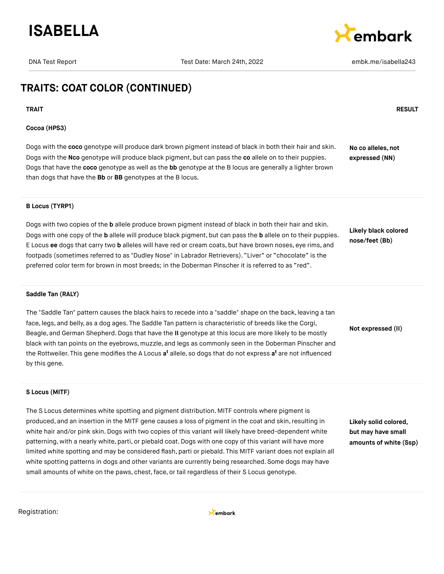



### **TRAITS: COAT COLOR (CONTINUED)**

**TRAIT RESULT**

#### **Cocoa (HPS3)**

Dogs with the **coco** genotype will produce dark brown pigment instead of black in both their hair and skin. Dogs with the **Nco** genotype will produce black pigment, but can pass the **co** allele on to their puppies. Dogs that have the **coco** genotype as well as the **bb** genotype at the B locus are generally a lighter brown than dogs that have the **Bb** or **BB** genotypes at the B locus. **No co alleles, not expressed (NN)**

#### **B Locus (TYRP1)**

Dogs with two copies of the **b** allele produce brown pigment instead of black in both their hair and skin. Dogs with one copy of the **b** allele will produce black pigment, but can pass the **b** allele on to their puppies. E Locus **ee** dogs that carry two **b** alleles will have red or cream coats, but have brown noses, eye rims, and footpads (sometimes referred to as "Dudley Nose" in Labrador Retrievers). "Liver" or "chocolate" is the preferred color term for brown in most breeds; in the Doberman Pinscher it is referred to as "red".

**Likely black colored nose/feet (Bb)**

#### **Saddle Tan (RALY)**

The "Saddle Tan" pattern causes the black hairs to recede into a "saddle" shape on the back, leaving a tan face, legs, and belly, as a dog ages. The Saddle Tan pattern is characteristic of breeds like the Corgi, Beagle, and German Shepherd.Dogs that have the **II** genotype at this locus are more likely to be mostly black with tan points on the eyebrows, muzzle, and legs as commonly seen in the Doberman Pinscher and the Rottweiler. This gene modifies the A Locus **a<sup>t</sup>** allele, so dogs that do not express **a<sup>t</sup>** are not influenced by this gene.

**Not expressed (II)**

#### **S Locus (MITF)**

The S Locus determines white spotting and pigment distribution. MITF controls where pigment is produced, and an insertion in the MITF gene causes a loss of pigment in the coat and skin, resulting in white hair and/or pink skin. Dogs with two copies of this variant will likely have breed-dependent white patterning, with a nearly white, parti, or piebald coat. Dogs with one copy of this variant will have more limited white spotting and may be considered flash, parti or piebald. This MITF variant does not explain all white spotting patterns in dogs and other variants are currently being researched. Some dogs may have small amounts of white on the paws, chest, face, or tail regardless of their S Locus genotype.

**Likely solid colored, but may have small amounts of white (Ssp)**

Registration:

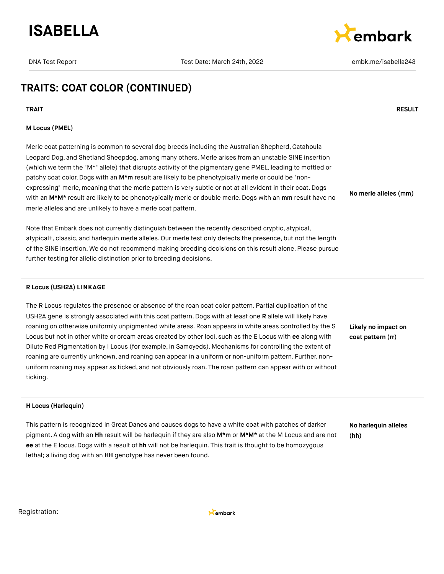



**No merle alleles (mm)**

### **TRAITS: COAT COLOR (CONTINUED)**

**TRAIT RESULT**

#### **M Locus (PMEL)**

Merle coat patterning is common to several dog breeds including the Australian Shepherd, Catahoula Leopard Dog, and Shetland Sheepdog, among many others. Merle arises from an unstable SINE insertion (which we term the "M\*" allele) that disrupts activity of the pigmentary gene PMEL, leading to mottled or patchy coat color. Dogs with an M<sup>\*</sup>m result are likely to be phenotypically merle or could be "nonexpressing" merle, meaning that the merle pattern is very subtle or not at all evident in their coat. Dogs with an **M\*M\*** result are likely to be phenotypically merle or double merle. Dogs with an **mm** result have no merle alleles and are unlikely to have a merle coat pattern.

Note that Embark does not currently distinguish between the recently described cryptic, atypical, atypical+, classic, and harlequin merle alleles. Our merle test only detects the presence, but not the length of the SINE insertion. We do not recommend making breeding decisions on this result alone. Please pursue further testing for allelic distinction prior to breeding decisions.

#### **R Locus (USH2A) LINKAGE**

The R Locus regulates the presence or absence of the roan coat color pattern. Partial duplication of the USH2A gene is strongly associated with this coat pattern. Dogs with at least one **R** allele will likely have roaning on otherwise uniformly unpigmented white areas. Roan appears in white areas controlled by the S Locus but not in other white or cream areas created by other loci, such as the E Locus with **ee** along with Dilute Red Pigmentation by I Locus (for example, in Samoyeds). Mechanisms for controlling the extent of roaning are currently unknown, and roaning can appear in a uniform or non-uniform pattern. Further, nonuniform roaning may appear as ticked, and not obviously roan. The roan pattern can appear with or without ticking.

**Likely no impact on coat pattern (rr)**

#### **H Locus (Harlequin)**

This pattern is recognized in Great Danes and causes dogs to have a white coat with patches of darker pigment. A dog with an **Hh** result will be harlequin if they are also **M\*m** or **M\*M\*** at the M Locus and are not **ee** at the E locus.Dogs with a result of **hh** will not be harlequin. This trait is thought to be homozygous lethal; a living dog with an **HH** genotype has never been found.

**No harlequin alleles (hh)**

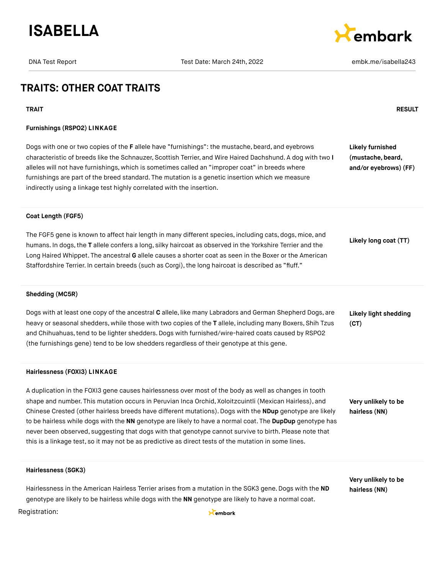



### **TRAITS: OTHER COAT TRAITS**

#### **TRAIT RESULT**

#### **Furnishings (RSPO2) LINKAGE**

Dogs with one or two copies of the **F** allele have "furnishings": the mustache, beard, and eyebrows characteristic of breeds like the Schnauzer, Scottish Terrier, and Wire Haired Dachshund. A dog with two **I** alleles will not have furnishings, which is sometimes called an "improper coat" in breeds where furnishings are part of the breed standard. The mutation is a genetic insertion which we measure indirectly using a linkage test highly correlated with the insertion. **Likely furnished (mustache, beard, and/or eyebrows) (FF)**

#### **Coat Length (FGF5)**

The FGF5 gene is known to affect hair length in many different species, including cats, dogs, mice, and humans. In dogs,the **T** allele confers a long, silky haircoat as observed in the Yorkshire Terrier and the Long Haired Whippet. The ancestral **G** allele causes a shorter coat as seen in the Boxer or the American Staffordshire Terrier. In certain breeds (such as Corgi), the long haircoat is described as "fluff." **Likely long coat (TT)**

#### **Shedding (MC5R)**

Dogs with at least one copy of the ancestral **C** allele, like many Labradors and German Shepherd Dogs, are heavy or seasonal shedders, while those with two copies of the **T** allele, including many Boxers, Shih Tzus and Chihuahuas,tend to be lighter shedders.Dogs with furnished/wire-haired coats caused by RSPO2 (the furnishings gene) tend to be low shedders regardless of their genotype at this gene. **Likely light shedding (CT)**

#### **Hairlessness (FOXI3) LINKAGE**

A duplication in the FOXI3 gene causes hairlessness over most of the body as well as changes in tooth shape and number. This mutation occurs in Peruvian Inca Orchid, Xoloitzcuintli (Mexican Hairless), and Chinese Crested (other hairless breeds have different mutations). Dogs with the **NDup** genotype are likely to be hairless while dogs with the **NN** genotype are likely to have a normal coat. The **DupDup** genotype has never been observed, suggesting that dogs with that genotype cannot survive to birth. Please note that this is a linkage test, so it may not be as predictive as direct tests of the mutation in some lines.

**Very unlikely to be hairless (NN)**

**Very unlikely to be hairless (NN)**

#### **Hairlessness (SGK3)**

Hairlessness in the American Hairless Terrier arises from a mutation in the SGK3 gene. Dogs with the **ND** genotype are likely to be hairless while dogs with the **NN** genotype are likely to have a normal coat.

#### Registration:

Kembark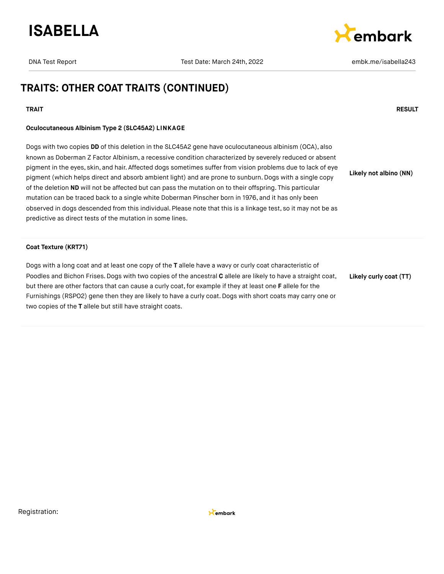



### **TRAITS: OTHER COAT TRAITS (CONTINUED)**

#### **TRAIT RESULT**

#### **Oculocutaneous Albinism Type 2 (SLC45A2) LINKAGE**

Dogs with two copies **DD** of this deletion in the SLC45A2 gene have oculocutaneous albinism (OCA), also known as Doberman Z Factor Albinism, a recessive condition characterized by severely reduced or absent pigment in the eyes, skin, and hair. Affected dogs sometimes suffer from vision problems due to lack of eye pigment (which helps direct and absorb ambient light) and are prone to sunburn. Dogs with a single copy of the deletion **ND** will not be affected but can pass the mutation on to their offspring. This particular mutation can be traced back to a single white Doberman Pinscher born in 1976, and it has only been observed in dogs descended from this individual. Please note that this is a linkage test, so it may not be as predictive as direct tests of the mutation in some lines. **Likely not albino (NN)**

#### **Coat Texture (KRT71)**

Dogs with a long coat and at least one copy of the **T** allele have a wavy or curly coat characteristic of Poodles and Bichon Frises. Dogs with two copies of the ancestral **C** allele are likely to have a straight coat, but there are other factors that can cause a curly coat,for example if they at least one **F** allele for the Furnishings (RSPO2) gene then they are likely to have a curly coat. Dogs with short coats may carry one or two copies of the **T** allele but still have straight coats. **Likely curly coat (TT)**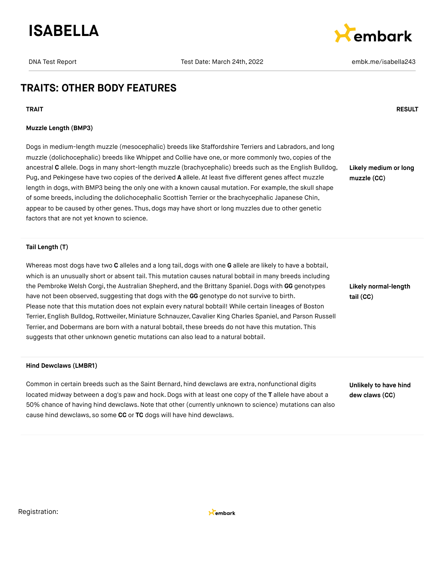



### **TRAITS: OTHER BODY FEATURES**

**TRAIT RESULT**

#### **Muzzle Length (BMP3)**

Dogs in medium-length muzzle (mesocephalic) breeds like Staffordshire Terriers and Labradors, and long muzzle (dolichocephalic) breeds like Whippet and Collie have one, or more commonly two, copies of the ancestral **C** allele.Dogs in many short-length muzzle (brachycephalic) breeds such as the English Bulldog, Pug, and Pekingese have two copies of the derived **A** allele. At least five different genes affect muzzle length in dogs, with BMP3 being the only one with a known causal mutation. For example, the skull shape of some breeds, including the dolichocephalic Scottish Terrier or the brachycephalic Japanese Chin, appear to be caused by other genes. Thus, dogs may have short or long muzzles due to other genetic factors that are not yet known to science.

**Likely medium or long muzzle (CC)**

**Tail Length (T)**

Whereas most dogs have two **C** alleles and a long tail, dogs with one **G** allele are likely to have a bobtail, which is an unusually short or absent tail. This mutation causes natural bobtail in many breeds including the Pembroke Welsh Corgi, the Australian Shepherd, and the Brittany Spaniel. Dogs with GG genotypes have not been observed, suggesting that dogs with the **GG** genotype do not survive to birth. Please note that this mutation does not explain every natural bobtail! While certain lineages of Boston Terrier, English Bulldog,Rottweiler, Miniature Schnauzer, Cavalier King Charles Spaniel, and Parson Russell Terrier, and Dobermans are born with a natural bobtail, these breeds do not have this mutation. This suggests that other unknown genetic mutations can also lead to a natural bobtail.

#### **Hind Dewclaws (LMBR1)**

Common in certain breeds such as the Saint Bernard, hind dewclaws are extra, nonfunctional digits located midway between a dog's paw and hock. Dogs with at least one copy of the **T** allele have about a 50% chance of having hind dewclaws.Note that other (currently unknown to science) mutations can also cause hind dewclaws, so some **CC** or **TC** dogs will have hind dewclaws.

**Likely normal-length tail (CC)**

**Unlikely to have hind dew claws (CC)**

Registration:

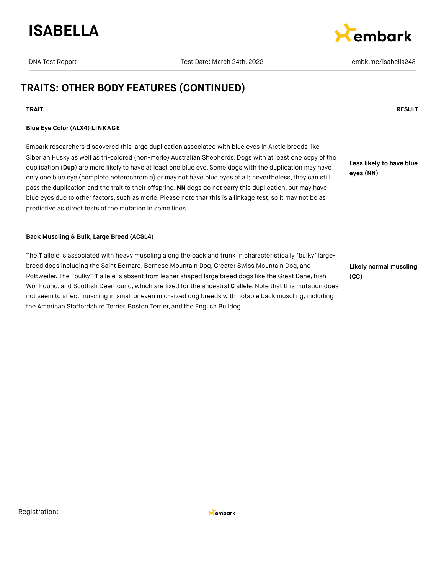



## **TRAITS: OTHER BODY FEATURES (CONTINUED)**

#### **TRAIT RESULT**

#### **Blue Eye Color (ALX4) LINKAGE**

Embark researchers discovered this large duplication associated with blue eyes in Arctic breeds like Siberian Husky as well as tri-colored (non-merle) Australian Shepherds. Dogs with at least one copy of the duplication (**Dup**) are more likely to have at least one blue eye. Some dogs with the duplication may have only one blue eye (complete heterochromia) or may not have blue eyes at all; nevertheless,they can still pass the duplication and the trait to their offspring.**NN** dogs do not carry this duplication, but may have blue eyes due to other factors, such as merle. Please note that this is a linkage test, so it may not be as predictive as direct tests of the mutation in some lines.

**Less likely to have blue eyes (NN)**

#### **Back Muscling & Bulk, Large Breed (ACSL4)**

The **T** allele is associated with heavy muscling along the back and trunk in characteristically "bulky" largebreed dogs including the Saint Bernard, Bernese Mountain Dog, Greater Swiss Mountain Dog, and Rottweiler. The "bulky" **T** allele is absent from leaner shaped large breed dogs like the Great Dane, Irish Wolfhound, and Scottish Deerhound, which are fixed for the ancestral **C** allele.Note that this mutation does not seem to affect muscling in small or even mid-sized dog breeds with notable back muscling, including the American Staffordshire Terrier, Boston Terrier, and the English Bulldog.

**Likely normal muscling (CC)**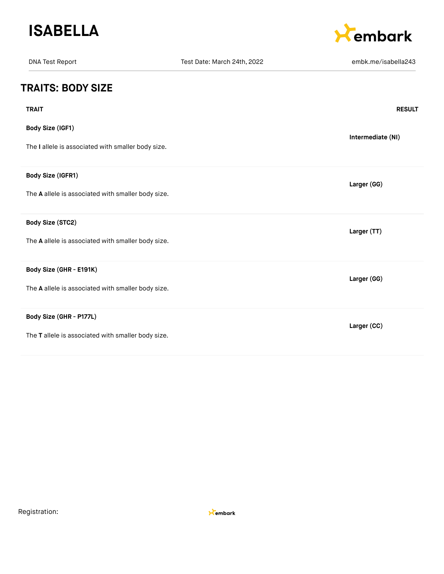



| <b>DNA Test Report</b>                             | Test Date: March 24th, 2022 | embk.me/isabella243 |
|----------------------------------------------------|-----------------------------|---------------------|
| <b>TRAITS: BODY SIZE</b>                           |                             |                     |
| <b>TRAIT</b>                                       |                             | <b>RESULT</b>       |
| Body Size (IGF1)                                   |                             | Intermediate (NI)   |
| The I allele is associated with smaller body size. |                             |                     |
| Body Size (IGFR1)                                  |                             | Larger (GG)         |
| The A allele is associated with smaller body size. |                             |                     |
| Body Size (STC2)                                   |                             | Larger (TT)         |
| The A allele is associated with smaller body size. |                             |                     |
| Body Size (GHR - E191K)                            |                             | Larger (GG)         |
| The A allele is associated with smaller body size. |                             |                     |
| Body Size (GHR - P177L)                            |                             | Larger (CC)         |
| The T allele is associated with smaller body size. |                             |                     |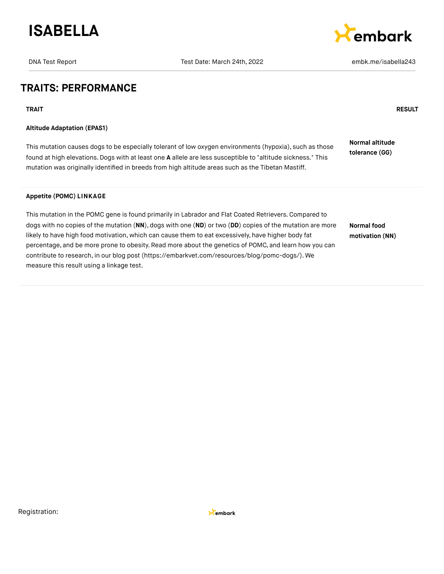



### **TRAITS: PERFORMANCE**

**TRAIT RESULT**

#### **Altitude Adaptation (EPAS1)**

This mutation causes dogs to be especially tolerant of low oxygen environments (hypoxia), such as those found at high elevations.Dogs with at least one **A** allele are less susceptible to "altitude sickness." This mutation was originally identified in breeds from high altitude areas such as the Tibetan Mastiff. **Normal altitude tolerance (GG)**

#### **Appetite (POMC) LINKAGE**

This mutation in the POMC gene is found primarily in Labrador and Flat Coated Retrievers.Compared to dogs with no copies of the mutation (**NN**), dogs with one (**ND**) or two (**DD**) copies of the mutation are more likely to have high food motivation, which can cause them to eat excessively, have higher body fat percentage, and be more prone to obesity. Read more about the genetics of POMC, and learn how you can contribute to research, in our blog post [\(https://embarkvet.com/resources/blog/pomc-dogs/\).](https://embarkvet.com/resources/blog/pomc-dogs/) We measure this result using a linkage test. **Normal food motivation (NN)**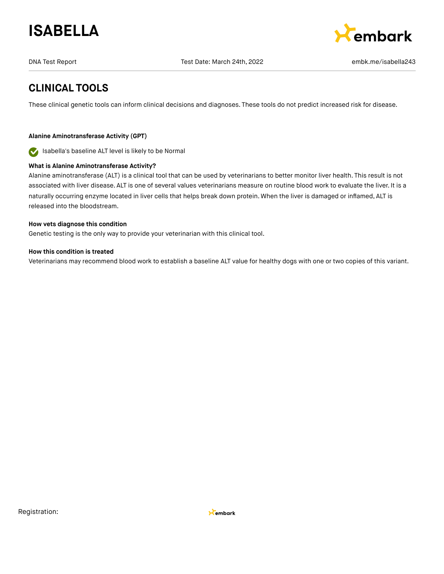



### **CLINICAL TOOLS**

These clinical genetic tools can inform clinical decisions and diagnoses. These tools do not predict increased risk for disease.

#### **Alanine Aminotransferase Activity (GPT)**

Isabella's baseline ALT level is likely to be Normal  $\bullet$ 

#### **What is Alanine Aminotransferase Activity?**

Alanine aminotransferase (ALT) is a clinical tool that can be used by veterinarians to better monitor liver health. This result is not associated with liver disease. ALT is one of several values veterinarians measure on routine blood work to evaluate the liver. It is a naturally occurring enzyme located in liver cells that helps break down protein. When the liver is damaged or inflamed, ALT is released into the bloodstream.

#### **How vets diagnose this condition**

Genetic testing is the only way to provide your veterinarian with this clinical tool.

#### **How this condition is treated**

Veterinarians may recommend blood work to establish a baseline ALT value for healthy dogs with one or two copies of this variant.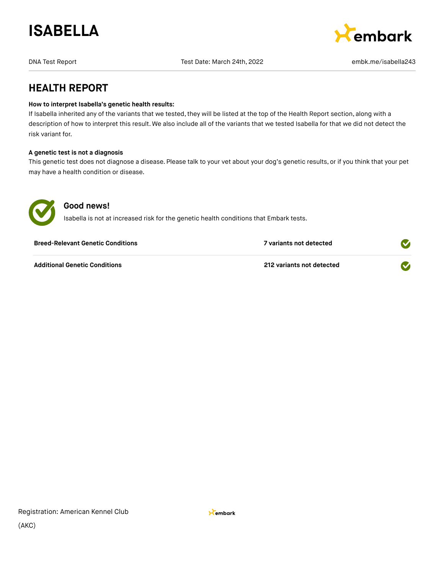



### **HEALTH REPORT**

#### **How to interpret Isabella's genetic health results:**

If Isabella inherited any of the variants that we tested, they will be listed at the top of the Health Report section, along with a description of how to interpret this result. We also include all of the variants that we tested Isabella for that we did not detect the risk variant for.

#### **A genetic test is not a diagnosis**

This genetic test does not diagnose a disease. Please talk to your vet about your dog's genetic results, or if you think that your pet may have a health condition or disease.



### **Good news!**

Isabella is not at increased risk for the genetic health conditions that Embark tests.

| <b>Breed-Relevant Genetic Conditions</b> | 7 variants not detected   |  |
|------------------------------------------|---------------------------|--|
| <b>Additional Genetic Conditions</b>     | 212 variants not detected |  |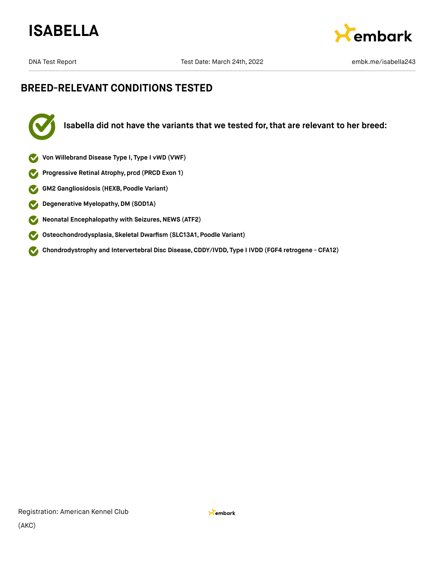



### **BREED-RELEVANT CONDITIONS TESTED**



**Isabella did not have the variants that we tested for, that are relevant to her breed:**

- **Von Willebrand Disease Type I, Type I vWD (VWF)**
- **Progressive Retinal Atrophy, prcd (PRCD Exon 1)**
- **GM2 Gangliosidosis (HEXB, Poodle Variant)**  $\bullet$
- **Degenerative Myelopathy,DM (SOD1A)**  $\mathbf{\mathcal{L}}$
- **Neonatal Encephalopathy with Seizures,NEWS (ATF2)**  $\bullet$
- **Osteochondrodysplasia, Skeletal Dwarfism (SLC13A1, Poodle Variant)**  $\bullet$
- **Chondrodystrophy and Intervertebral Disc Disease,CDDY/IVDD, Type I IVDD (FGF4 retrogene CFA12)**  $\blacktriangledown$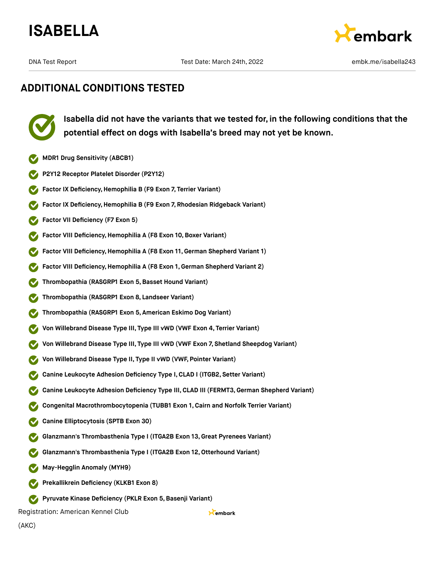



**Isabella did not have the variants that we tested for, in the following conditions that the potential effect on dogs with Isabella's breed may not yet be known.**

- **MDR1 Drug Sensitivity (ABCB1)**
- **P2Y12 Receptor Platelet Disorder (P2Y12)**
- **Factor IX Deficiency, Hemophilia B (F9 Exon 7, Terrier Variant)**
- **Factor IX Deficiency,Hemophilia B (F9 Exon 7, Rhodesian Ridgeback Variant)**
- **Factor VII Deficiency (F7 Exon 5)**
- **Factor VIII Deficiency, Hemophilia A (F8 Exon 10, Boxer Variant)**
- **Factor VIII Deficiency,Hemophilia A (F8 Exon 11,German Shepherd Variant 1)**
- **Factor VIII Deficiency,Hemophilia A (F8 Exon 1, German Shepherd Variant 2)**
- **Thrombopathia (RASGRP1 Exon 5,Basset Hound Variant)**
- **Thrombopathia (RASGRP1 Exon 8, Landseer Variant)**
- **Thrombopathia (RASGRP1 Exon 5, American Eskimo Dog Variant)**
- **Von Willebrand Disease Type III, Type III vWD (VWF Exon 4, Terrier Variant)**
- **Von Willebrand Disease Type III, Type III vWD (VWF Exon 7, Shetland Sheepdog Variant)**
- **Von Willebrand Disease Type II, Type II vWD (VWF, Pointer Variant)**
- **Canine Leukocyte Adhesion Deficiency Type I,CLAD I (ITGB2, Setter Variant)**
- **Canine Leukocyte Adhesion Deficiency Type III, CLAD III (FERMT3,German Shepherd Variant)**

Kembark

- **Congenital Macrothrombocytopenia (TUBB1 Exon 1, Cairn and Norfolk Terrier Variant)**
- **Canine Elliptocytosis (SPTB Exon 30)**
- **Glanzmann's Thrombasthenia Type I (ITGA2B Exon 13,Great Pyrenees Variant)**
- **Glanzmann's Thrombasthenia Type I (ITGA2B Exon 12,Otterhound Variant)**
- **May-Hegglin Anomaly (MYH9)**
- **Prekallikrein Deficiency (KLKB1 Exon 8)**
- **Pyruvate Kinase Deficiency (PKLR Exon 5,Basenji Variant)**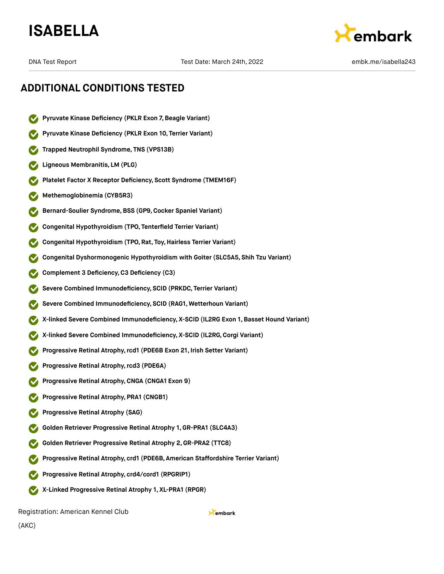



### **ADDITIONAL CONDITIONS TESTED**

- **Pyruvate Kinase Deficiency (PKLR Exon 7,Beagle Variant)**
- **Pyruvate Kinase Deficiency (PKLR Exon 10, Terrier Variant)**
- **Trapped Neutrophil Syndrome, TNS (VPS13B)**
- **Ligneous Membranitis, LM (PLG)**
- **Platelet Factor X Receptor Deficiency, Scott Syndrome (TMEM16F)**
- **Methemoglobinemia (CYB5R3)**
- **Bernard-Soulier Syndrome,BSS (GP9,Cocker Spaniel Variant)**
- **Congenital Hypothyroidism (TPO, Tenterfield Terrier Variant)**
- **Congenital Hypothyroidism (TPO, Rat, Toy,Hairless Terrier Variant)**
- **Congenital Dyshormonogenic Hypothyroidism with Goiter (SLC5A5, Shih Tzu Variant)**
- **Complement 3 Deficiency,C3 Deficiency (C3)**
- **Severe Combined Immunodeficiency, SCID (PRKDC, Terrier Variant)**
- **Severe Combined Immunodeficiency, SCID (RAG1, Wetterhoun Variant)**
- **X-linked Severe Combined Immunodeficiency, X-SCID (IL2RG Exon 1, Basset Hound Variant)**
- **X-linked Severe Combined Immunodeficiency, X-SCID (IL2RG,Corgi Variant)**
- **Progressive Retinal Atrophy,rcd1 (PDE6B Exon 21, Irish Setter Variant)**
- **Progressive Retinal Atrophy,rcd3 (PDE6A)**
- **Progressive Retinal Atrophy,CNGA (CNGA1 Exon 9)**
- **Progressive Retinal Atrophy, PRA1 (CNGB1)**
- **Progressive Retinal Atrophy (SAG)**
- **Golden Retriever Progressive Retinal Atrophy 1, GR-PRA1 (SLC4A3)**
- **Golden Retriever Progressive Retinal Atrophy 2,GR-PRA2 (TTC8)**
- **Progressive Retinal Atrophy, crd1 (PDE6B, American Staffordshire Terrier Variant)**
- **Progressive Retinal Atrophy, crd4/cord1 (RPGRIP1)**
- **X-Linked Progressive Retinal Atrophy 1, XL-PRA1 (RPGR)**

Registration: American Kennel Club

Kembark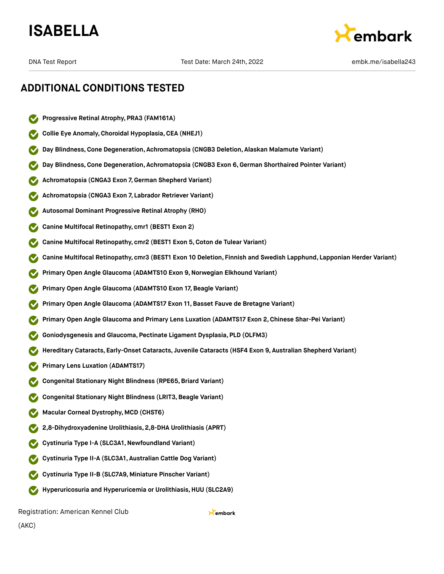



### **ADDITIONAL CONDITIONS TESTED**

- **Progressive Retinal Atrophy, PRA3 (FAM161A)**
- **Collie Eye Anomaly,Choroidal Hypoplasia,CEA (NHEJ1)**
- **Day Blindness,Cone Degeneration, Achromatopsia (CNGB3 Deletion, Alaskan Malamute Variant)**
- **Day Blindness,Cone Degeneration, Achromatopsia (CNGB3 Exon 6,German Shorthaired Pointer Variant)**
- **Achromatopsia (CNGA3 Exon 7,German Shepherd Variant)**
- **Achromatopsia (CNGA3 Exon 7, Labrador Retriever Variant)**
- **Autosomal Dominant Progressive Retinal Atrophy (RHO)**
- **Canine Multifocal Retinopathy, cmr1 (BEST1 Exon 2)**
- **Canine Multifocal Retinopathy, cmr2 (BEST1 Exon 5,Coton de Tulear Variant)**
- **Canine Multifocal Retinopathy, cmr3 (BEST1 Exon 10 Deletion, Finnish and Swedish Lapphund, Lapponian Herder Variant)**
- **Primary Open Angle Glaucoma (ADAMTS10 Exon 9,Norwegian Elkhound Variant)**
- **Primary Open Angle Glaucoma (ADAMTS10 Exon 17, Beagle Variant)**
- **Primary Open Angle Glaucoma (ADAMTS17 Exon 11,Basset Fauve de Bretagne Variant)**
- **Primary Open Angle Glaucoma and Primary Lens Luxation (ADAMTS17 Exon 2,Chinese Shar-Pei Variant)**
- **Goniodysgenesis and Glaucoma, Pectinate Ligament Dysplasia, PLD (OLFM3)**
- **Hereditary Cataracts, Early-Onset Cataracts, Juvenile Cataracts (HSF4 Exon 9, Australian Shepherd Variant)**
- **Primary Lens Luxation (ADAMTS17)**
- **Congenital Stationary Night Blindness (RPE65,Briard Variant)**
- **Congenital Stationary Night Blindness (LRIT3,Beagle Variant)**
- **Macular Corneal Dystrophy, MCD (CHST6)**
- **2,8-Dihydroxyadenine Urolithiasis, 2,8-DHA Urolithiasis (APRT)**
- **Cystinuria Type I-A (SLC3A1,Newfoundland Variant)**
- **Cystinuria Type II-A (SLC3A1, Australian Cattle Dog Variant)**
- **Cystinuria Type II-B (SLC7A9, Miniature Pinscher Variant)**
- **Hyperuricosuria and Hyperuricemia or Urolithiasis, HUU (SLC2A9)**

Registration: American Kennel Club

Kembark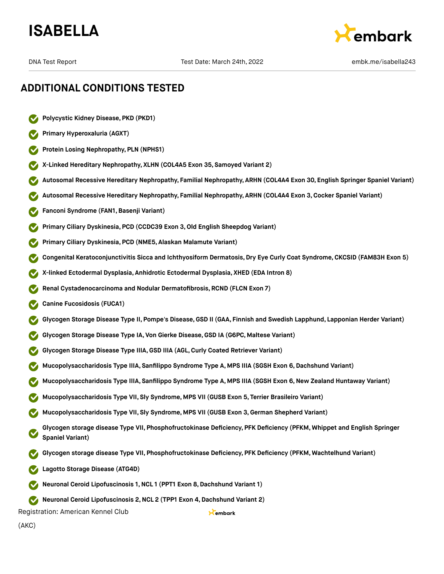



- **Polycystic Kidney Disease, PKD (PKD1)**
- **Primary Hyperoxaluria (AGXT)**
- **Protein Losing Nephropathy, PLN (NPHS1)**
- **X-Linked Hereditary Nephropathy, XLHN (COL4A5 Exon 35, Samoyed Variant 2)**
- **Autosomal Recessive Hereditary Nephropathy, Familial Nephropathy, ARHN (COL4A4 Exon 30, English Springer Spaniel Variant)**
- **Autosomal Recessive Hereditary Nephropathy, Familial Nephropathy, ARHN (COL4A4 Exon 3,Cocker Spaniel Variant)**
- **Fanconi Syndrome (FAN1,Basenji Variant)**
- **Primary Ciliary Dyskinesia, PCD (CCDC39 Exon 3,Old English Sheepdog Variant)**
- **Primary Ciliary Dyskinesia, PCD (NME5, Alaskan Malamute Variant)**
- **Congenital Keratoconjunctivitis Sicca and Ichthyosiform Dermatosis, Dry Eye Curly Coat Syndrome, CKCSID (FAM83H Exon 5)**
- **X-linked Ectodermal Dysplasia, Anhidrotic Ectodermal Dysplasia, XHED (EDA Intron 8)**
- **Renal Cystadenocarcinoma and Nodular Dermatofibrosis, RCND (FLCN Exon 7)**
- **Canine Fucosidosis (FUCA1)**
- **Glycogen Storage Disease Type II, Pompe's Disease,GSD II (GAA, Finnish and Swedish Lapphund, Lapponian Herder Variant)**
- **Glycogen Storage Disease Type IA, Von Gierke Disease,GSD IA (G6PC, Maltese Variant)**
- **Glycogen Storage Disease Type IIIA,GSD IIIA (AGL,Curly Coated Retriever Variant)**
- **Mucopolysaccharidosis Type IIIA, Sanfilippo Syndrome Type A, MPS IIIA (SGSH Exon 6,Dachshund Variant)**
- **Mucopolysaccharidosis Type IIIA, Sanfilippo Syndrome Type A, MPS IIIA (SGSH Exon 6,New Zealand Huntaway Variant)**
- **Mucopolysaccharidosis Type VII, Sly Syndrome, MPS VII (GUSB Exon 5, Terrier Brasileiro Variant)**
- **Mucopolysaccharidosis Type VII, Sly Syndrome, MPS VII (GUSB Exon 3,German Shepherd Variant)**
- **Glycogen storage disease Type VII, Phosphofructokinase Deficiency, PFK Deficiency (PFKM, Whippet and English Springer Spaniel Variant)**

Kembark

- **Glycogen storage disease Type VII, Phosphofructokinase Deficiency, PFK Deficiency (PFKM, Wachtelhund Variant)**
- **Lagotto Storage Disease (ATG4D)**
- **Neuronal Ceroid Lipofuscinosis 1,NCL 1 (PPT1 Exon 8,Dachshund Variant 1)**
- **Neuronal Ceroid Lipofuscinosis 2,NCL 2 (TPP1 Exon 4,Dachshund Variant 2)**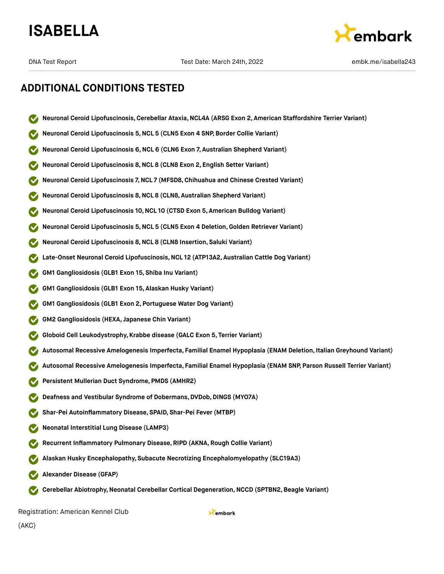



- **Neuronal Ceroid Lipofuscinosis,Cerebellar Ataxia,NCL4A (ARSG Exon 2, American Staffordshire Terrier Variant)**
- **Neuronal Ceroid Lipofuscinosis 5,NCL 5 (CLN5 Exon 4 SNP, Border Collie Variant)**
- **Neuronal Ceroid Lipofuscinosis 6,NCL 6 (CLN6 Exon 7, Australian Shepherd Variant)**
- **Neuronal Ceroid Lipofuscinosis 8,NCL 8 (CLN8 Exon 2, English Setter Variant)**
- **Neuronal Ceroid Lipofuscinosis 7,NCL 7 (MFSD8,Chihuahua and Chinese Crested Variant)**
- **Neuronal Ceroid Lipofuscinosis 8,NCL 8 (CLN8, Australian Shepherd Variant)**
- **Neuronal Ceroid Lipofuscinosis 10,NCL 10 (CTSD Exon 5, American Bulldog Variant)**
- **Neuronal Ceroid Lipofuscinosis 5,NCL 5 (CLN5 Exon 4 Deletion,Golden Retriever Variant)**
- **Neuronal Ceroid Lipofuscinosis 8,NCL 8 (CLN8 Insertion, Saluki Variant)**
- **Late-Onset Neuronal Ceroid Lipofuscinosis,NCL 12 (ATP13A2, Australian Cattle Dog Variant)**
- **GM1 Gangliosidosis (GLB1 Exon 15, Shiba Inu Variant)**
- **GM1 Gangliosidosis (GLB1 Exon 15, Alaskan Husky Variant)**
- **GM1 Gangliosidosis (GLB1 Exon 2, Portuguese Water Dog Variant)**
- **GM2 Gangliosidosis (HEXA, Japanese Chin Variant)**
- **Globoid Cell Leukodystrophy, Krabbe disease (GALC Exon 5, Terrier Variant)**
- **Autosomal Recessive Amelogenesis Imperfecta, Familial Enamel Hypoplasia (ENAM Deletion, Italian Greyhound Variant)**
- **Autosomal Recessive Amelogenesis Imperfecta, Familial Enamel Hypoplasia (ENAM SNP, Parson Russell Terrier Variant)**
- **Persistent Mullerian Duct Syndrome, PMDS (AMHR2)**
- **Deafness and Vestibular Syndrome of Dobermans, DVDob, DINGS (MYO7A)**
- **Shar-Pei Autoinflammatory Disease, SPAID, Shar-Pei Fever (MTBP)**
- **Neonatal Interstitial Lung Disease (LAMP3)**
- **Recurrent Inflammatory Pulmonary Disease, RIPD (AKNA, Rough Collie Variant)**
- **Alaskan Husky Encephalopathy, Subacute Necrotizing Encephalomyelopathy (SLC19A3)**
- **Alexander Disease (GFAP)**
- **Cerebellar Abiotrophy,Neonatal Cerebellar Cortical Degeneration,NCCD (SPTBN2,Beagle Variant)**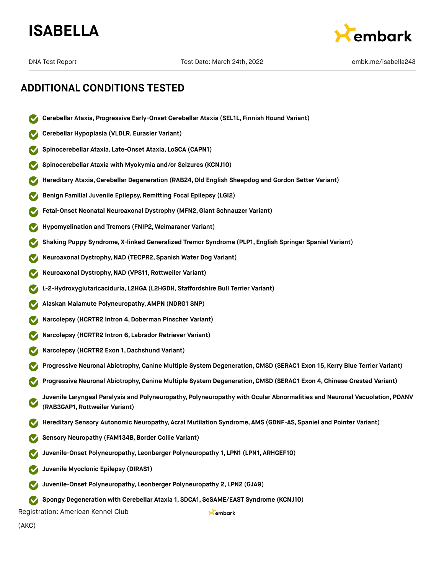



- **Cerebellar Ataxia, Progressive Early-Onset Cerebellar Ataxia (SEL1L, Finnish Hound Variant)**
- **Cerebellar Hypoplasia (VLDLR, Eurasier Variant)**
- **Spinocerebellar Ataxia, Late-Onset Ataxia, LoSCA (CAPN1)**
- **Spinocerebellar Ataxia with Myokymia and/or Seizures (KCNJ10)**
- **Hereditary Ataxia,Cerebellar Degeneration (RAB24,Old English Sheepdog and Gordon Setter Variant)**
- **Benign Familial Juvenile Epilepsy, Remitting Focal Epilepsy (LGI2)**
- **Fetal-Onset Neonatal Neuroaxonal Dystrophy (MFN2,Giant Schnauzer Variant)**
- **Hypomyelination and Tremors (FNIP2, Weimaraner Variant)**
- **Shaking Puppy Syndrome, X-linked Generalized Tremor Syndrome (PLP1, English Springer Spaniel Variant)**
- **Neuroaxonal Dystrophy,NAD (TECPR2, Spanish Water Dog Variant)**
- **Neuroaxonal Dystrophy,NAD (VPS11, Rottweiler Variant)**
- **L-2-Hydroxyglutaricaciduria, L2HGA (L2HGDH, Staffordshire Bull Terrier Variant)**
- **Alaskan Malamute Polyneuropathy, AMPN (NDRG1 SNP)**
- **Narcolepsy (HCRTR2 Intron 4,Doberman Pinscher Variant)**
- **Narcolepsy (HCRTR2 Intron 6, Labrador Retriever Variant)**
- **Narcolepsy (HCRTR2 Exon 1,Dachshund Variant)**
- **Progressive Neuronal Abiotrophy,Canine Multiple System Degeneration,CMSD (SERAC1 Exon 15, Kerry Blue Terrier Variant)**
- **Progressive Neuronal Abiotrophy,Canine Multiple System Degeneration,CMSD (SERAC1 Exon 4, Chinese Crested Variant)**
- **Juvenile Laryngeal Paralysis and Polyneuropathy, Polyneuropathy with Ocular Abnormalities and Neuronal Vacuolation, POANV (RAB3GAP1, Rottweiler Variant)**

Kembark

- **Hereditary Sensory Autonomic Neuropathy, Acral Mutilation Syndrome, AMS (GDNF-AS, Spaniel and Pointer Variant)**
- **Sensory Neuropathy (FAM134B,Border Collie Variant)**
- **Juvenile-Onset Polyneuropathy, Leonberger Polyneuropathy 1, LPN1 (LPN1, ARHGEF10)**
- **Juvenile Myoclonic Epilepsy (DIRAS1)**
- **Juvenile-Onset Polyneuropathy, Leonberger Polyneuropathy 2, LPN2 (GJA9)**
- **Spongy Degeneration with Cerebellar Ataxia 1, SDCA1, SeSAME/EAST Syndrome (KCNJ10)**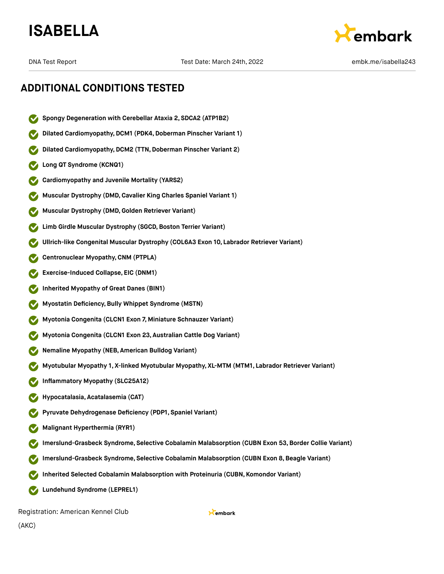



### **ADDITIONAL CONDITIONS TESTED**

- **Spongy Degeneration with Cerebellar Ataxia 2, SDCA2 (ATP1B2)**
- **Dilated Cardiomyopathy,DCM1 (PDK4,Doberman Pinscher Variant 1)**
- **Dilated Cardiomyopathy, DCM2 (TTN, Doberman Pinscher Variant 2)**
- **Long QT Syndrome (KCNQ1)**
- **Cardiomyopathy and Juvenile Mortality (YARS2)**
- **Muscular Dystrophy (DMD,Cavalier King Charles Spaniel Variant 1)**
- **Muscular Dystrophy (DMD,Golden Retriever Variant)**
- **Limb Girdle Muscular Dystrophy (SGCD,Boston Terrier Variant)**
- **Ullrich-like Congenital Muscular Dystrophy (COL6A3 Exon 10, Labrador Retriever Variant)**
- **Centronuclear Myopathy,CNM (PTPLA)**
- **Exercise-Induced Collapse, EIC (DNM1)**
- **Inherited Myopathy of Great Danes (BIN1)**
- **Myostatin Deficiency,Bully Whippet Syndrome (MSTN)**
- **Myotonia Congenita (CLCN1 Exon 7, Miniature Schnauzer Variant)**
- **Myotonia Congenita (CLCN1 Exon 23, Australian Cattle Dog Variant)**
- **Nemaline Myopathy (NEB, American Bulldog Variant)**
- **Myotubular Myopathy 1, X-linked Myotubular Myopathy, XL-MTM (MTM1, Labrador Retriever Variant)**
- **Inflammatory Myopathy (SLC25A12)**
- **Hypocatalasia, Acatalasemia (CAT)**
- **Pyruvate Dehydrogenase Deficiency (PDP1, Spaniel Variant)**
- **Malignant Hyperthermia (RYR1)**
- **Imerslund-Grasbeck Syndrome, Selective Cobalamin Malabsorption (CUBN Exon 53,Border Collie Variant)**
- **Imerslund-Grasbeck Syndrome, Selective Cobalamin Malabsorption (CUBN Exon 8,Beagle Variant)**
- **Inherited Selected Cobalamin Malabsorption with Proteinuria (CUBN, Komondor Variant)**
- **Lundehund Syndrome (LEPREL1)** M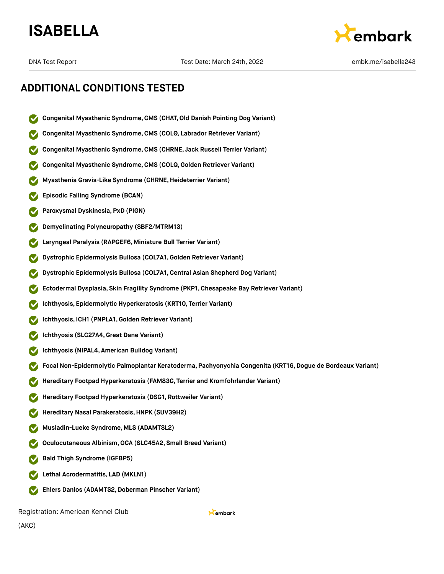



- **Congenital Myasthenic Syndrome,CMS (CHAT,Old Danish Pointing Dog Variant)**
- **Congenital Myasthenic Syndrome,CMS (COLQ, Labrador Retriever Variant)**
- **Congenital Myasthenic Syndrome,CMS (CHRNE, Jack Russell Terrier Variant)**
- **Congenital Myasthenic Syndrome,CMS (COLQ, Golden Retriever Variant)**
- **Myasthenia Gravis-Like Syndrome (CHRNE,Heideterrier Variant)**
- **Episodic Falling Syndrome (BCAN)**
- **Paroxysmal Dyskinesia, PxD (PIGN)**
- **Demyelinating Polyneuropathy (SBF2/MTRM13)**
- **Laryngeal Paralysis (RAPGEF6, Miniature Bull Terrier Variant)**
- **Dystrophic Epidermolysis Bullosa (COL7A1,Golden Retriever Variant)**
- **Dystrophic Epidermolysis Bullosa (COL7A1,Central Asian Shepherd Dog Variant)**
- **Ectodermal Dysplasia, Skin Fragility Syndrome (PKP1, Chesapeake Bay Retriever Variant)**
- **Ichthyosis, Epidermolytic Hyperkeratosis (KRT10, Terrier Variant)**
- **Ichthyosis, ICH1 (PNPLA1,Golden Retriever Variant)**
- **Ichthyosis (SLC27A4,Great Dane Variant)**
- **Ichthyosis (NIPAL4, American Bulldog Variant)**
- **Focal Non-Epidermolytic Palmoplantar Keratoderma, Pachyonychia Congenita (KRT16,Dogue de Bordeaux Variant)**

Kembark

- **Hereditary Footpad Hyperkeratosis (FAM83G, Terrier and Kromfohrlander Variant)**
- **Hereditary Footpad Hyperkeratosis (DSG1, Rottweiler Variant)**
- **Hereditary Nasal Parakeratosis,HNPK (SUV39H2)**
- **Musladin-Lueke Syndrome, MLS (ADAMTSL2)**
- **Oculocutaneous Albinism,OCA (SLC45A2, Small Breed Variant)**
- **Bald Thigh Syndrome (IGFBP5)**
- **Lethal Acrodermatitis, LAD (MKLN1)**
- **Ehlers Danlos (ADAMTS2,Doberman Pinscher Variant)**  $\bullet$

Registration: American Kennel Club

(AKC)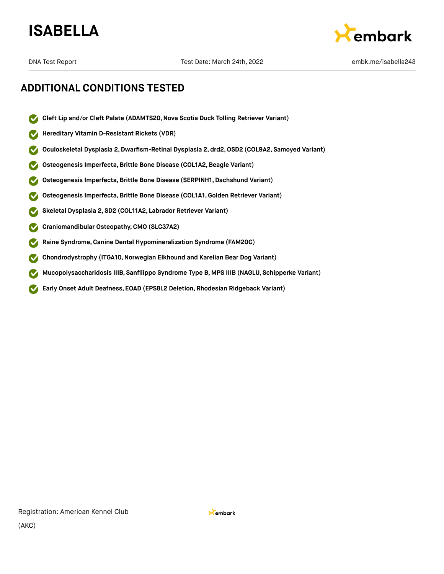



- $\boldsymbol{\triangledown}$ **Cleft Lip and/or Cleft Palate (ADAMTS20,Nova Scotia Duck Tolling Retriever Variant)**
- **Hereditary Vitamin D-Resistant Rickets (VDR)**
- **Oculoskeletal Dysplasia 2,Dwarfism-Retinal Dysplasia 2, drd2,OSD2 (COL9A2, Samoyed Variant)**
- **Osteogenesis Imperfecta,Brittle Bone Disease (COL1A2,Beagle Variant)**
- **Osteogenesis Imperfecta,Brittle Bone Disease (SERPINH1, Dachshund Variant)**
- **Osteogenesis Imperfecta,Brittle Bone Disease (COL1A1,Golden Retriever Variant)**
- **Skeletal Dysplasia 2, SD2 (COL11A2, Labrador Retriever Variant)**
- **Craniomandibular Osteopathy,CMO (SLC37A2)**
- **Raine Syndrome,Canine Dental Hypomineralization Syndrome (FAM20C)**
- **Chondrodystrophy (ITGA10,Norwegian Elkhound and Karelian Bear Dog Variant)**
- **Mucopolysaccharidosis IIIB, Sanfilippo Syndrome Type B, MPS IIIB (NAGLU, Schipperke Variant)**
- **Early Onset Adult Deafness, EOAD (EPS8L2 Deletion, Rhodesian Ridgeback Variant)**